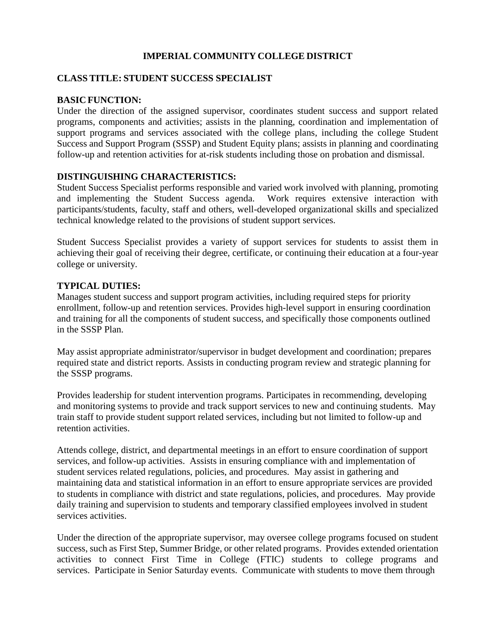# **IMPERIAL COMMUNITY COLLEGE DISTRICT**

### **CLASS TITLE: STUDENT SUCCESS SPECIALIST**

#### **BASIC FUNCTION:**

Under the direction of the assigned supervisor, coordinates student success and support related programs, components and activities; assists in the planning, coordination and implementation of support programs and services associated with the college plans, including the college Student Success and Support Program (SSSP) and Student Equity plans; assists in planning and coordinating follow-up and retention activities for at-risk students including those on probation and dismissal.

#### **DISTINGUISHING CHARACTERISTICS:**

Student Success Specialist performs responsible and varied work involved with planning, promoting<br>and implementing the Student Success agenda. Work requires extensive interaction with and implementing the Student Success agenda. participants/students, faculty, staff and others, well-developed organizational skills and specialized technical knowledge related to the provisions of student support services.

Student Success Specialist provides a variety of support services for students to assist them in achieving their goal of receiving their degree, certificate, or continuing their education at a four-year college or university.

#### **TYPICAL DUTIES:**

Manages student success and support program activities, including required steps for priority enrollment, follow-up and retention services. Provides high-level support in ensuring coordination and training for all the components of student success, and specifically those components outlined in the SSSP Plan.

May assist appropriate administrator/supervisor in budget development and coordination; prepares required state and district reports. Assists in conducting program review and strategic planning for the SSSP programs.

Provides leadership for student intervention programs. Participates in recommending, developing and monitoring systems to provide and track support services to new and continuing students. May train staff to provide student support related services, including but not limited to follow-up and retention activities.

Attends college, district, and departmental meetings in an effort to ensure coordination of support services, and follow-up activities. Assists in ensuring compliance with and implementation of student services related regulations, policies, and procedures. May assist in gathering and maintaining data and statistical information in an effort to ensure appropriate services are provided to students in compliance with district and state regulations, policies, and procedures. May provide daily training and supervision to students and temporary classified employees involved in student services activities.

Under the direction of the appropriate supervisor, may oversee college programs focused on student success, such as First Step, Summer Bridge, or other related programs. Provides extended orientation activities to connect First Time in College (FTIC) students to college programs and services. Participate in Senior Saturday events. Communicate with students to move them through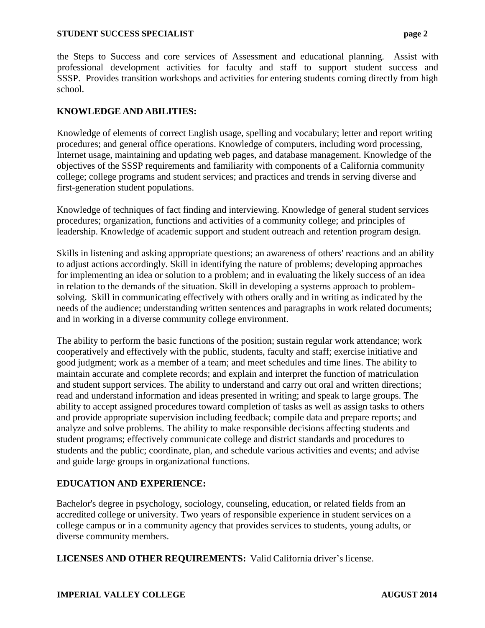#### **STUDENT SUCCESS SPECIALIST page 2**

the Steps to Success and core services of Assessment and educational planning. Assist with professional development activities for faculty and staff to support student success and SSSP. Provides transition workshops and activities for entering students coming directly from high school.

## **KNOWLEDGE AND ABILITIES:**

Knowledge of elements of correct English usage, spelling and vocabulary; letter and report writing procedures; and general office operations. Knowledge of computers, including word processing, Internet usage, maintaining and updating web pages, and database management. Knowledge of the objectives of the SSSP requirements and familiarity with components of a California community college; college programs and student services; and practices and trends in serving diverse and first-generation student populations.

Knowledge of techniques of fact finding and interviewing. Knowledge of general student services procedures; organization, functions and activities of a community college; and principles of leadership. Knowledge of academic support and student outreach and retention program design.

Skills in listening and asking appropriate questions; an awareness of others' reactions and an ability to adjust actions accordingly. Skill in identifying the nature of problems; developing approaches for implementing an idea or solution to a problem; and in evaluating the likely success of an idea in relation to the demands of the situation. Skill in developing a systems approach to problemsolving. Skill in communicating effectively with others orally and in writing as indicated by the needs of the audience; understanding written sentences and paragraphs in work related documents; and in working in a diverse community college environment.

The ability to perform the basic functions of the position; sustain regular work attendance; work cooperatively and effectively with the public, students, faculty and staff; exercise initiative and good judgment; work as a member of a team; and meet schedules and time lines. The ability to maintain accurate and complete records; and explain and interpret the function of matriculation and student support services. The ability to understand and carry out oral and written directions; read and understand information and ideas presented in writing; and speak to large groups. The ability to accept assigned procedures toward completion of tasks as well as assign tasks to others and provide appropriate supervision including feedback; compile data and prepare reports; and analyze and solve problems. The ability to make responsible decisions affecting students and student programs; effectively communicate college and district standards and procedures to students and the public; coordinate, plan, and schedule various activities and events; and advise and guide large groups in organizational functions.

#### **EDUCATION AND EXPERIENCE:**

Bachelor's degree in psychology, sociology, counseling, education, or related fields from an accredited college or university. Two years of responsible experience in student services on a college campus or in a community agency that provides services to students, young adults, or diverse community members.

**LICENSES AND OTHER REQUIREMENTS:** Valid California driver's license.

#### **IMPERIAL VALLEY COLLEGE AUGUST 2014**